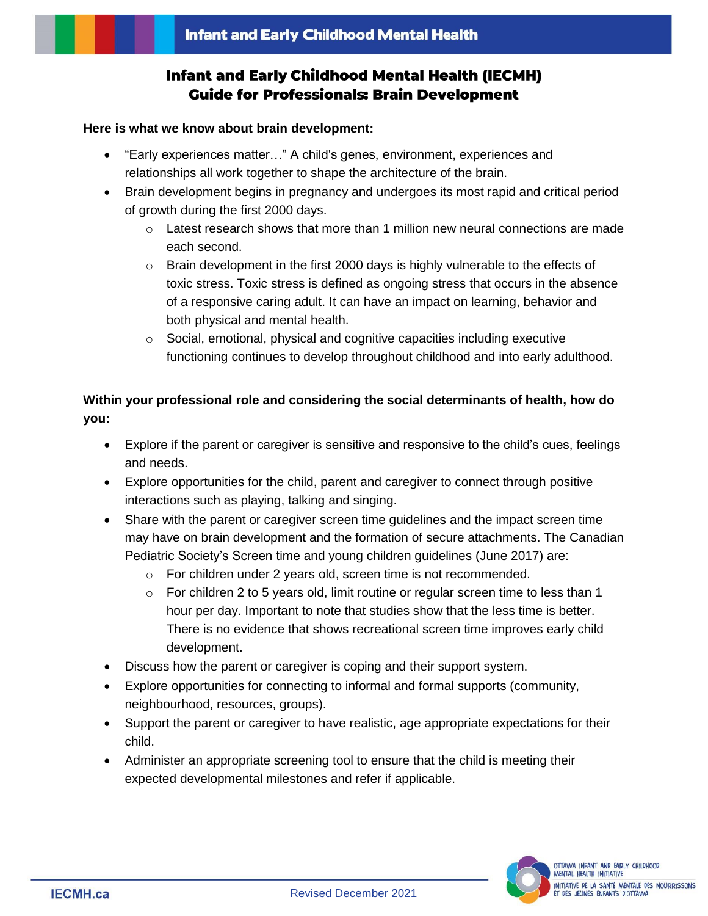# **Infant and Early Childhood Mental Health (IECMH) Guide for Professionals: Brain Development**

#### **Here is what we know about brain development:**

- "Early experiences matter…" A child's genes, environment, experiences and relationships all work together to shape the architecture of the brain.
- Brain development begins in pregnancy and undergoes its most rapid and critical period of growth during the first 2000 days.
	- $\circ$  Latest research shows that more than 1 million new neural connections are made each second.
	- $\circ$  Brain development in the first 2000 days is highly vulnerable to the effects of toxic stress. Toxic stress is defined as ongoing stress that occurs in the absence of a responsive caring adult. It can have an impact on learning, behavior and both physical and mental health.
	- o Social, emotional, physical and cognitive capacities including executive functioning continues to develop throughout childhood and into early adulthood.

## **Within your professional role and considering the social determinants of health, how do you:**

- Explore if the parent or caregiver is sensitive and responsive to the child's cues, feelings and needs.
- Explore opportunities for the child, parent and caregiver to connect through positive interactions such as playing, talking and singing.
- Share with the parent or caregiver screen time guidelines and the impact screen time may have on brain development and the formation of secure attachments. The Canadian Pediatric Society's Screen time and young children guidelines (June 2017) are:
	- o For children under 2 years old, screen time is not recommended.
	- $\circ$  For children 2 to 5 years old, limit routine or regular screen time to less than 1 hour per day. Important to note that studies show that the less time is better. There is no evidence that shows recreational screen time improves early child development.
- Discuss how the parent or caregiver is coping and their support system.
- Explore opportunities for connecting to informal and formal supports (community, neighbourhood, resources, groups).
- Support the parent or caregiver to have realistic, age appropriate expectations for their child.
- Administer an appropriate screening tool to ensure that the child is meeting their expected developmental milestones and refer if applicable.